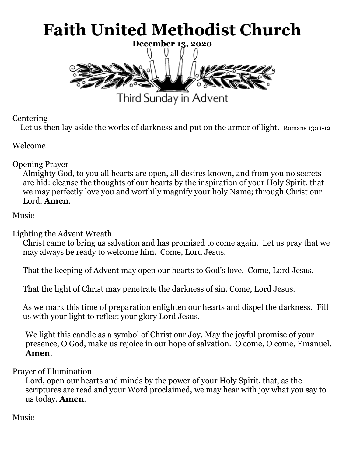# **Faith United Methodist Church**



# Centering

Let us then lay aside the works of darkness and put on the armor of light. Romans 13:11-12

Welcome

Opening Prayer

Almighty God, to you all hearts are open, all desires known, and from you no secrets are hid: cleanse the thoughts of our hearts by the inspiration of your Holy Spirit, that we may perfectly love you and worthily magnify your holy Name; through Christ our Lord. **Amen**.

Music

# Lighting the Advent Wreath

Christ came to bring us salvation and has promised to come again. Let us pray that we may always be ready to welcome him. Come, Lord Jesus.

That the keeping of Advent may open our hearts to God's love. Come, Lord Jesus.

That the light of Christ may penetrate the darkness of sin. Come, Lord Jesus.

As we mark this time of preparation enlighten our hearts and dispel the darkness. Fill us with your light to reflect your glory Lord Jesus.

We light this candle as a symbol of Christ our Joy. May the joyful promise of your presence, O God, make us rejoice in our hope of salvation. O come, O come, Emanuel. **Amen**.

### Prayer of Illumination

Lord, open our hearts and minds by the power of your Holy Spirit, that, as the scriptures are read and your Word proclaimed, we may hear with joy what you say to us today. **Amen**.

Music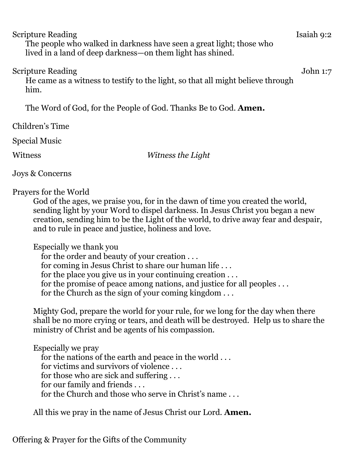Scripture Reading Isaiah 9:2 The people who walked in darkness have seen a great light; those who lived in a land of deep darkness—on them light has shined.

Scripture Reading John 1:7

He came as a witness to testify to the light, so that all might believe through him.

The Word of God, for the People of God. Thanks Be to God. **Amen.**

Children's Time

Special Music

Witness *Witness the Light*

Joys & Concerns

#### Prayers for the World

God of the ages, we praise you, for in the dawn of time you created the world, sending light by your Word to dispel darkness. In Jesus Christ you began a new creation, sending him to be the Light of the world, to drive away fear and despair, and to rule in peace and justice, holiness and love.

Especially we thank you

for the order and beauty of your creation . . . for coming in Jesus Christ to share our human life . . . for the place you give us in your continuing creation . . . for the promise of peace among nations, and justice for all peoples . . . for the Church as the sign of your coming kingdom . . .

Mighty God, prepare the world for your rule, for we long for the day when there shall be no more crying or tears, and death will be destroyed. Help us to share the ministry of Christ and be agents of his compassion.

Especially we pray

for the nations of the earth and peace in the world . . .

for victims and survivors of violence . . .

for those who are sick and suffering . . .

for our family and friends . . .

for the Church and those who serve in Christ's name . . .

All this we pray in the name of Jesus Christ our Lord. **Amen.**

Offering & Prayer for the Gifts of the Community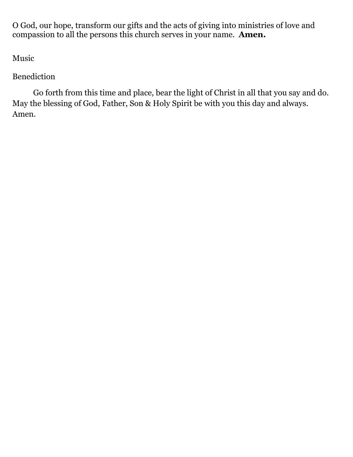O God, our hope, transform our gifts and the acts of giving into ministries of love and compassion to all the persons this church serves in your name. **Amen.**

Music

Benediction

Go forth from this time and place, bear the light of Christ in all that you say and do. May the blessing of God, Father, Son & Holy Spirit be with you this day and always. Amen.